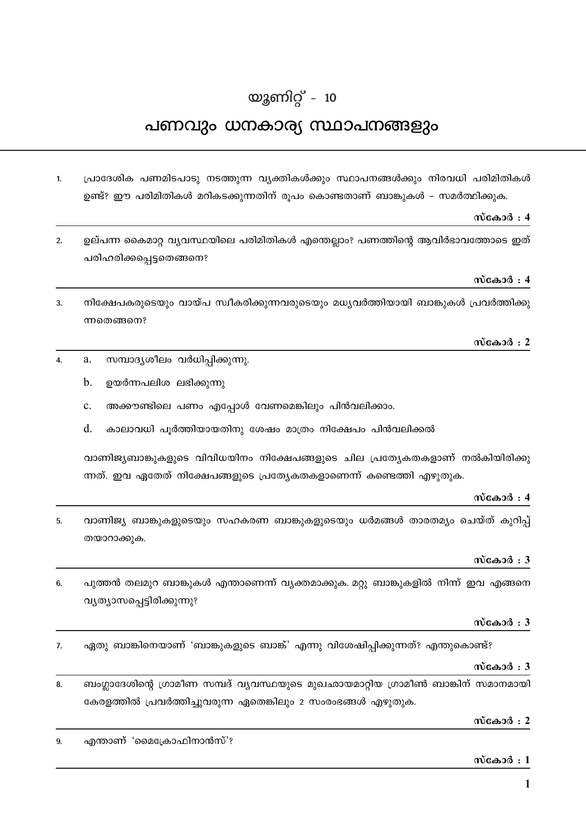# യുണിറ്റ് -  $10$

# പണവും ധനകാര്യ സ്ഥാപനങ്ങളും

പ്രാദേശിക പണമിടപാടു നടത്തുന്ന വ്യക്തികൾക്കും സ്ഥാപനങ്ങൾക്കും നിരവധി പരിമിതികൾ  $\mathbf{1}$ ഉണ്ട്? ഈ പരിമിതികൾ മറികടക്കുന്നതിന് രൂപം കൊണ്ടതാണ് ബാങ്കുകൾ – സമർത്ഥിക്കുക.

## സ്കോർ $: 4$

ഉല്പന്ന കൈമാറ്റ വ്യവസ്ഥയിലെ പരിമിതികൾ എന്തെല്ലാം? പണത്തിന്റെ ആവിർഭാവത്തോടെ ഇത്  $\mathcal{L}$ പരിഹരിക്കപ്പെട്ടതെങ്ങനെ?

## സ്കോർ : 4

നിക്ഷേപകരുടെയും വായ്പ സ്വീകരിക്കുന്നവരുടെയും മധ്യവർത്തിയായി ബാങ്കുകൾ പ്രവർത്തിക്കു  $\mathbf{r}$ ന്നതെങ്ങനെ?

## സ്കോർ $: 2$

- സമ്പാദൃശീലം വർധിപ്പിക്കുന്നു.  $\overline{4}$ . a.
	- $\mathbf{b}$ . ഉയർന്നപലിശ ലഭിക്കുന്നു
	- $\mathbf{c}$ അക്കൗണ്ടിലെ പണം എപ്പോൾ വേണമെങ്കിലും പിൻവലിക്കാം.
	- $d_{\cdot}$ കാലാവധി പുർത്തിയായതിനു ശേഷം മാത്രം നിക്ഷേപം പിൻവലിക്കൽ

വാണിജ്യബാങ്കുകളുടെ വിവിധയിനം നിക്ഷേപങ്ങളുടെ ചില പ്രത്യേകതകളാണ് നൽകിയിരിക്കു ന്നത്. ഇവ ഏതേത് നിക്ഷേപങ്ങളുടെ പ്രത്യേകതകളാണെന്ന് കണ്ടെത്തി എഴുതുക.

#### സ്കോർ  $: 4$

വാണിജ്യ ബാങ്കുകളുടെയും സഹകരണ ബാങ്കുകളുടെയും ധർമങ്ങൾ താരതമ്യം ചെയ്ത് കുറിപ്പ്  $\overline{5}$ തയാറാക്കുക.

# സ്കോർ $: 3$

പുത്തൻ തലമുറ ബാങ്കുകൾ എന്താണെന്ന് വ്യക്തമാക്കുക. മറ്റു ബാങ്കുകളിൽ നിന്ന് ഇവ എങ്ങനെ 6. വൃത്യാസപ്പെട്ടിരിക്കുന്നു?

#### സ്കോർ $: 3$

ഏതു ബാങ്കിനെയാണ് 'ബാങ്കുകളുടെ ബാങ്ക്' എന്നു വിശേഷിപ്പിക്കുന്നത്? എന്തുകൊണ്ട്?  $\overline{7}$ 

# സ്കോർ $: 3$

ബംഗ്ലാദേശിന്റെ ഗ്രാമീണ സമ്പദ് വ്യവസ്ഥയുടെ മുഖഛായമാറ്റിയ ഗ്രാമീൺ ബാങ്കിന് സമാനമായി 8. കേരളത്തിൽ പ്രവർത്തിച്ചുവരുന്ന ഏതെങ്കിലും 2 സംരംഭങ്ങൾ എഴുതുക.

# സ്കോർ : 2

എന്താണ് 'മൈക്രോഫിനാൻസ്'? 9.

#### സ്കോർ $:1$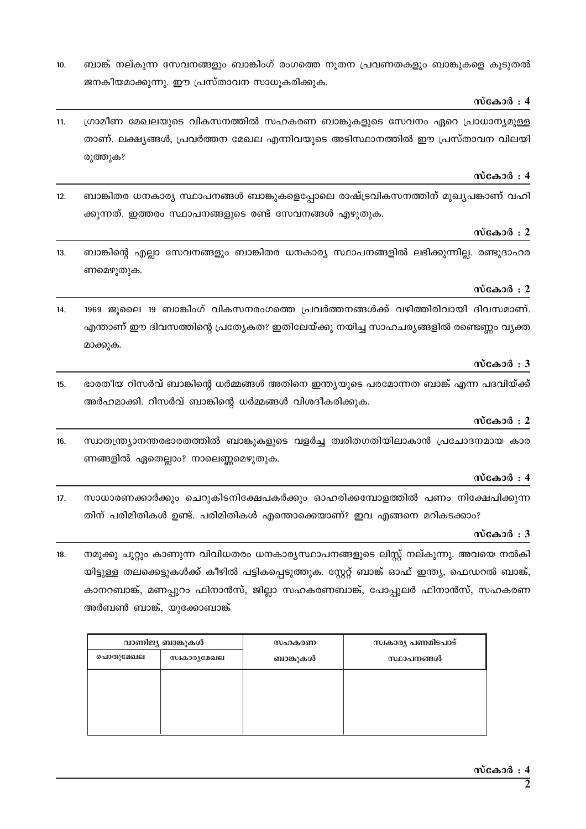- 10.  $\quad$  ബാങ്ക് നല്കുന്ന സേവനങ്ങളും ബാങ്കിംഗ് രംഗത്തെ നുതന പ്രവണതകളും ബാങ്കുകളെ കുടുതൽ ജനകീയമാക്കുന്നു. ഈ പ്രസ്താവന സാധുകരിക്കുക.
	- സ്കോർ : 4
- 11. ്രാമീണ മേഖലയുടെ വികസനത്തിൽ സഹകരണ ബാങ്കുകളുടെ സേവനം ഏറെ പ്രാധാന്യമുള്ള താണ്. ലക്ഷ്യങ്ങൾ, പ്രവർത്തന മേഖല എന്നിവയുടെ അടിസ്ഥാനത്തിൽ ഈ പ്രസ്താവന വിലയി രുത്തുക?

# സ്കോർ : 4

12. ബാങ്കിതര ധനകാര്യ സ്ഥാപനങ്ങൾ ബാങ്കുകളെപ്പോലെ രാഷ്ട്രവികസനത്തിന് മുഖ്യപങ്കാണ് വഹി ക്കുന്നത്. ഇത്തരം സ്ഥാപനങ്ങളുടെ രണ്ട് സേവനങ്ങൾ എഴുതുക.

# **kvtIm¿ : 2**

13. പ്രൊങ്കിന്റെ എല്ലാ സേവനങ്ങളും ബാങ്കിതര ധനകാര്യ സ്ഥാപനങ്ങളിൽ ലഭിക്കുന്നില്ല. രണ്ടുദാഹര ണമെഴുതുക.

# സ്കോർ : 2

14. 1969 ജൂലൈ 19 ബാങ്കിംഗ് വികസനരംഗത്തെ പ്രവർത്തനങ്ങൾക്ക് വഴിത്തിരിവായി ദിവസമാണ്. എന്താണ് ഈ ദിവസത്തിന്റെ പ്രത്യേകത? ഇതിലേയ്ക്കു നയിച്ച സാഹചര്യങ്ങളിൽ രണ്ടെണ്ണം വ്യക്ത മാക്കുക.

# **kvtIm¿ : 3**

15. ഭാരതീയ റിസർവ് ബാങ്കിന്റെ ധർമ്മങ്ങൾ അതിനെ ഇന്ത്യയുടെ പരമോന്നത ബാങ്ക് എന്ന പദവിയ്ക്ക് അർഹമാക്കി. റിസർവ് ബാങ്കിന്റെ ധർമ്മങ്ങൾ വിശദീകരിക്കുക.

# **kvtIm¿ : 2**

16. സ്ഥാതന്ത്ര്യാനന്തരഭാരതത്തിൽ ബാങ്കുകളുടെ വളർച്ച ത്വരിതഗതിയിലാകാൻ പ്രചോദനമായ കാര ണങ്ങളിൽ ഏതെല്ലാം? നാലെണ്ണമെഴുതുക.

# സ്കോർ : 4

17. സാധാരണക്കാർക്കും ചെറുകിടനിക്ഷേപകർക്കും ഓഹരിക്കമ്പോളത്തിൽ പണം നിക്ഷേപിക്കുന്ന തിന് പരിമിതികൾ ഉണ്ട്. പരിമിതികൾ എന്തൊക്കെയാണ്? ഇവ എങ്ങനെ മറികടക്കാം?

# **kvtIm¿ : 3**

18. നമുക്കു ചുറ്റും കാണുന്ന വിവിധതരം ധനകാരൃസ്ഥാപനങ്ങളുടെ ലിസ്റ്റ് നല്കുന്നു. അവയെ നൽകി യിട്ടുള്ള തലക്കെട്ടുകൾക്ക് കീഴിൽ പട്ടികപ്പെടുത്തുക. സ്റ്റേറ്റ് ബാങ്ക് ഓഫ് ഇന്ത്യ, ഫെഡറൽ ബാങ്ക്, കാനറബാങ്ക്, മണപ്പറം ഫിനാൻസ്, ജില്ലാ സഹകരണബാങ്ക്, പോപ്പുലർ ഫിനാൻസ്, സഹകരണ അർബൺ ബാങ്ക്, യൂക്കോബാങ്ക്

| വാണിജ്യ ബാങ്കുകൾ |             | സഹകരണ    | സ്വകാര്യ പണമിടപാട് |
|------------------|-------------|----------|--------------------|
| പൊതുമേഖല         | സ്വകാരൃമേഖല | ബാങ്കുകൾ | സ്ഥാപനങ്ങൾ         |
|                  |             |          |                    |
|                  |             |          |                    |
|                  |             |          |                    |
|                  |             |          |                    |